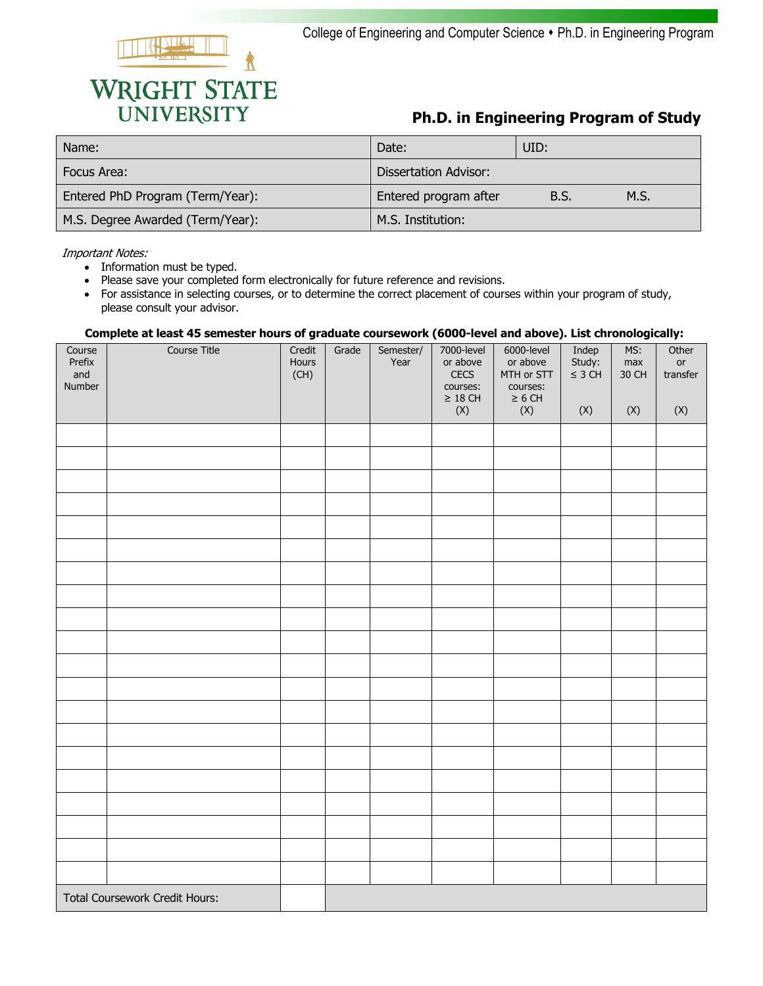

## **Ph.D. in Engineering Program of Study**

| Name:                            | Date:                 | UID: |      |
|----------------------------------|-----------------------|------|------|
| Focus Area:                      | Dissertation Advisor: |      |      |
| Entered PhD Program (Term/Year): | Entered program after | B.S. | M.S. |
| M.S. Degree Awarded (Term/Year): | M.S. Institution:     |      |      |

Important Notes:

- Information must be typed.
- Please save your completed form electronically for future reference and revisions.
- For assistance in selecting courses, or to determine the correct placement of courses within your program of study, please consult your advisor.

## **Complete at least 45 semester hours of graduate coursework (6000-level and above). List chronologically:**

| Course<br>Prefix | <b>Course Title</b>                   | Credit<br>Hours | Grade | Semester/<br>Year | 7000-level<br>or above | 6000-level<br>or above | Indep<br>Study: | MS:<br>max | Other<br>or |
|------------------|---------------------------------------|-----------------|-------|-------------------|------------------------|------------------------|-----------------|------------|-------------|
| and<br>Number    |                                       | (CH)            |       |                   | CECS<br>courses:       | MTH or STT<br>courses: | $\leq$ 3 CH     | 30 CH      | transfer    |
|                  |                                       |                 |       |                   | $\geq 18$ CH<br>(X)    | $\geq 6$ CH<br>(X)     | (X)             | (X)        | (X)         |
|                  |                                       |                 |       |                   |                        |                        |                 |            |             |
|                  |                                       |                 |       |                   |                        |                        |                 |            |             |
|                  |                                       |                 |       |                   |                        |                        |                 |            |             |
|                  |                                       |                 |       |                   |                        |                        |                 |            |             |
|                  |                                       |                 |       |                   |                        |                        |                 |            |             |
|                  |                                       |                 |       |                   |                        |                        |                 |            |             |
|                  |                                       |                 |       |                   |                        |                        |                 |            |             |
|                  |                                       |                 |       |                   |                        |                        |                 |            |             |
|                  |                                       |                 |       |                   |                        |                        |                 |            |             |
|                  |                                       |                 |       |                   |                        |                        |                 |            |             |
|                  |                                       |                 |       |                   |                        |                        |                 |            |             |
|                  |                                       |                 |       |                   |                        |                        |                 |            |             |
|                  |                                       |                 |       |                   |                        |                        |                 |            |             |
|                  |                                       |                 |       |                   |                        |                        |                 |            |             |
|                  |                                       |                 |       |                   |                        |                        |                 |            |             |
|                  |                                       |                 |       |                   |                        |                        |                 |            |             |
|                  |                                       |                 |       |                   |                        |                        |                 |            |             |
|                  |                                       |                 |       |                   |                        |                        |                 |            |             |
|                  |                                       |                 |       |                   |                        |                        |                 |            |             |
|                  |                                       |                 |       |                   |                        |                        |                 |            |             |
|                  | <b>Total Coursework Credit Hours:</b> |                 |       |                   |                        |                        |                 |            |             |